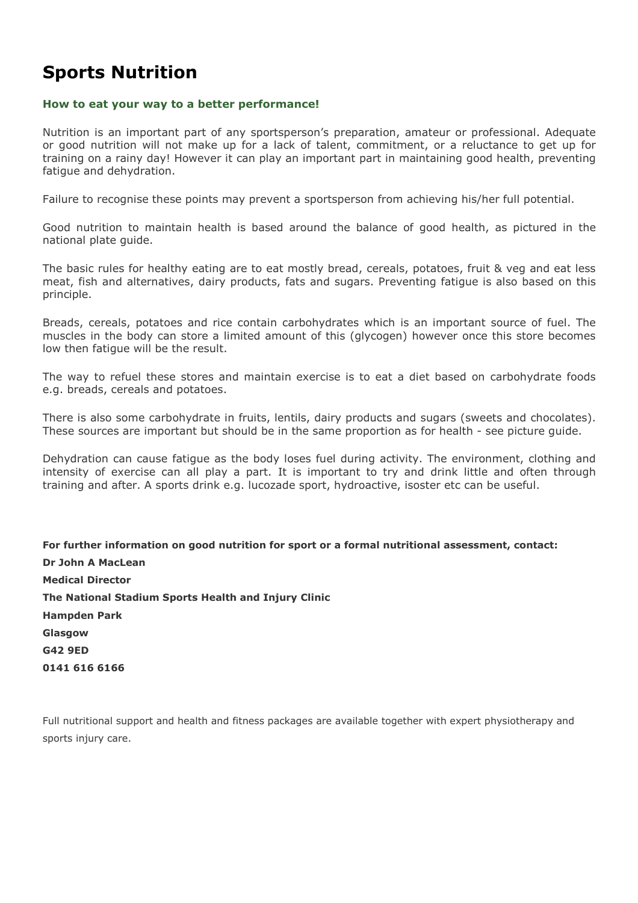## **Sports Nutrition**

#### **How to eat your way to a better performance!**

Nutrition is an important part of any sportsperson's preparation, amateur or professional. Adequate or good nutrition will not make up for a lack of talent, commitment, or a reluctance to get up for training on a rainy day! However it can play an important part in maintaining good health, preventing fatigue and dehydration.

Failure to recognise these points may prevent a sportsperson from achieving his/her full potential.

Good nutrition to maintain health is based around the balance of good health, as pictured in the national plate guide.

The basic rules for healthy eating are to eat mostly bread, cereals, potatoes, fruit & veg and eat less meat, fish and alternatives, dairy products, fats and sugars. Preventing fatigue is also based on this principle.

Breads, cereals, potatoes and rice contain carbohydrates which is an important source of fuel. The muscles in the body can store a limited amount of this (glycogen) however once this store becomes low then fatigue will be the result.

The way to refuel these stores and maintain exercise is to eat a diet based on carbohydrate foods e.g. breads, cereals and potatoes.

There is also some carbohydrate in fruits, lentils, dairy products and sugars (sweets and chocolates). These sources are important but should be in the same proportion as for health - see picture guide.

Dehydration can cause fatigue as the body loses fuel during activity. The environment, clothing and intensity of exercise can all play a part. It is important to try and drink little and often through training and after. A sports drink e.g. lucozade sport, hydroactive, isoster etc can be useful.

**For further information on good nutrition for sport or a formal nutritional assessment, contact: Dr John A MacLean Medical Director The National Stadium Sports Health and Injury Clinic Hampden Park Glasgow G42 9ED 0141 616 6166** 

Full nutritional support and health and fitness packages are available together with expert physiotherapy and sports injury care.